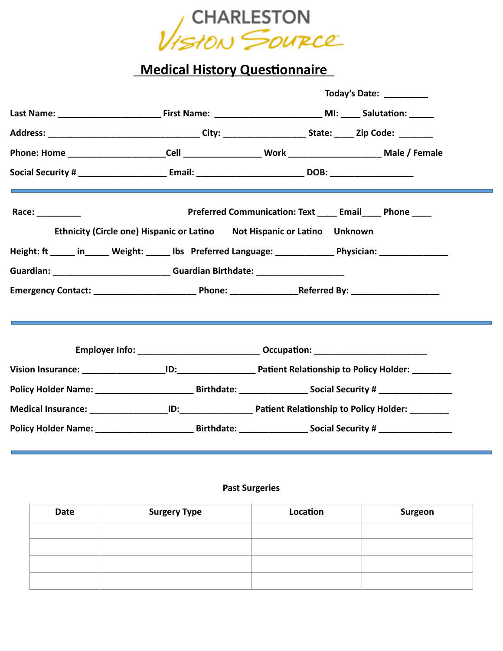

## **Medical History Questionnaire**

| Social Security # _____________________________Email: ____________________________DOB: _______________________<br>Race: $\frac{1}{\sqrt{1-\frac{1}{2}}}\frac{1}{\sqrt{1-\frac{1}{2}}}\frac{1}{\sqrt{1-\frac{1}{2}}}\frac{1}{\sqrt{1-\frac{1}{2}}}\frac{1}{\sqrt{1-\frac{1}{2}}}\frac{1}{\sqrt{1-\frac{1}{2}}}\frac{1}{\sqrt{1-\frac{1}{2}}}\frac{1}{\sqrt{1-\frac{1}{2}}}\frac{1}{\sqrt{1-\frac{1}{2}}}\frac{1}{\sqrt{1-\frac{1}{2}}}\frac{1}{\sqrt{1-\frac{1}{2}}}\frac{1}{\sqrt{1-\frac{1}{2}}}\frac{1}{\sqrt{1-\frac{1}{2}}}\frac{1}{\$<br>Ethnicity (Circle one) Hispanic or Latino Not Hispanic or Latino Unknown<br>Height: ft _____ in_____ Weight: _____ Ibs Preferred Language: ____________ Physician: _____________<br>Guardian: _______________________________Guardian Birthdate: ___________________<br>Employer Info: __________________________________ Occupation: ___________________ | Today's Date: _________                                 |
|---------------------------------------------------------------------------------------------------------------------------------------------------------------------------------------------------------------------------------------------------------------------------------------------------------------------------------------------------------------------------------------------------------------------------------------------------------------------------------------------------------------------------------------------------------------------------------------------------------------------------------------------------------------------------------------------------------------------------------------------------------------------------------------------------------------------------------------------------------------------------------------------------------|---------------------------------------------------------|
|                                                                                                                                                                                                                                                                                                                                                                                                                                                                                                                                                                                                                                                                                                                                                                                                                                                                                                         |                                                         |
|                                                                                                                                                                                                                                                                                                                                                                                                                                                                                                                                                                                                                                                                                                                                                                                                                                                                                                         |                                                         |
|                                                                                                                                                                                                                                                                                                                                                                                                                                                                                                                                                                                                                                                                                                                                                                                                                                                                                                         |                                                         |
|                                                                                                                                                                                                                                                                                                                                                                                                                                                                                                                                                                                                                                                                                                                                                                                                                                                                                                         |                                                         |
|                                                                                                                                                                                                                                                                                                                                                                                                                                                                                                                                                                                                                                                                                                                                                                                                                                                                                                         | Preferred Communication: Text ____ Email____ Phone ____ |
|                                                                                                                                                                                                                                                                                                                                                                                                                                                                                                                                                                                                                                                                                                                                                                                                                                                                                                         |                                                         |
|                                                                                                                                                                                                                                                                                                                                                                                                                                                                                                                                                                                                                                                                                                                                                                                                                                                                                                         |                                                         |
|                                                                                                                                                                                                                                                                                                                                                                                                                                                                                                                                                                                                                                                                                                                                                                                                                                                                                                         |                                                         |
|                                                                                                                                                                                                                                                                                                                                                                                                                                                                                                                                                                                                                                                                                                                                                                                                                                                                                                         |                                                         |
|                                                                                                                                                                                                                                                                                                                                                                                                                                                                                                                                                                                                                                                                                                                                                                                                                                                                                                         |                                                         |
|                                                                                                                                                                                                                                                                                                                                                                                                                                                                                                                                                                                                                                                                                                                                                                                                                                                                                                         |                                                         |
|                                                                                                                                                                                                                                                                                                                                                                                                                                                                                                                                                                                                                                                                                                                                                                                                                                                                                                         |                                                         |
| Policy Holder Name: __________________________________Birthdate: ______________________Social Security # _____________________________                                                                                                                                                                                                                                                                                                                                                                                                                                                                                                                                                                                                                                                                                                                                                                  |                                                         |
|                                                                                                                                                                                                                                                                                                                                                                                                                                                                                                                                                                                                                                                                                                                                                                                                                                                                                                         |                                                         |
| Policy Holder Name: _________________________________Birthdate: _________________ Social Security # ________________                                                                                                                                                                                                                                                                                                                                                                                                                                                                                                                                                                                                                                                                                                                                                                                    |                                                         |

## **Past Surgeries**

| Date | <b>Surgery Type</b> | Location | Surgeon |
|------|---------------------|----------|---------|
|      |                     |          |         |
|      |                     |          |         |
|      |                     |          |         |
|      |                     |          |         |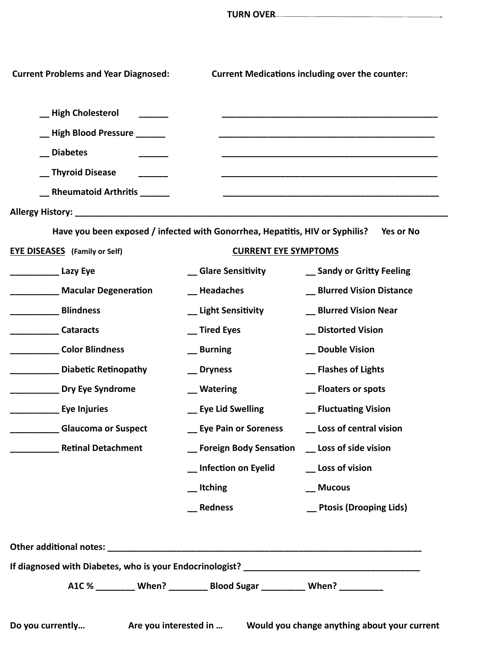| <b>Current Problems and Year Diagnosed:</b>                                  |                                                                    | <b>Current Medications including over the counter:</b> |
|------------------------------------------------------------------------------|--------------------------------------------------------------------|--------------------------------------------------------|
| _High Cholesterol                                                            |                                                                    |                                                        |
| _High Blood Pressure _______                                                 |                                                                    |                                                        |
| Diabetes                                                                     |                                                                    |                                                        |
| Thyroid Disease                                                              |                                                                    |                                                        |
| __ Rheumatoid Arthritis ______                                               |                                                                    |                                                        |
|                                                                              |                                                                    |                                                        |
| Have you been exposed / infected with Gonorrhea, Hepatitis, HIV or Syphilis? |                                                                    | Yes or No                                              |
| <b>EYE DISEASES</b> (Family or Self)                                         | <b>CURRENT EYE SYMPTOMS</b>                                        |                                                        |
|                                                                              | <b>__ Glare Sensitivity</b>                                        | _ Sandy or Gritty Feeling                              |
| ____________ Macular Degeneration                                            | __ Headaches                                                       | _ Blurred Vision Distance                              |
| <b>Blindness</b>                                                             | _ Light Sensitivity                                                | _ Blurred Vision Near                                  |
| <b>Cataracts</b>                                                             | _ Tired Eyes                                                       | __ Distorted Vision                                    |
| <b>Color Blindness</b>                                                       | _ Burning                                                          | _ Double Vision                                        |
| Diabetic Retinopathy                                                         | _ Dryness                                                          | _ Flashes of Lights                                    |
| <b>No. 2018</b> Dry Eye Syndrome                                             | _Matering                                                          | _ Floaters or spots                                    |
| <b>Eye Injuries</b>                                                          | _ Eye Lid Swelling                                                 | _ Fluctuating Vision                                   |
| <b>Glaucoma or Suspect</b>                                                   | _ Eye Pain or Soreness                                             | _ Loss of central vision                               |
| <b>Retinal Detachment</b>                                                    | _ Foreign Body Sensation _ Loss of side vision                     |                                                        |
|                                                                              | _ Infection on Eyelid                                              | _ Loss of vision                                       |
|                                                                              | _ttching                                                           | __ Mucous                                              |
|                                                                              | __ Redness                                                         | __ Ptosis (Drooping Lids)                              |
|                                                                              |                                                                    |                                                        |
|                                                                              |                                                                    |                                                        |
|                                                                              |                                                                    |                                                        |
|                                                                              | A1C% ________ When? ________ Blood Sugar _________ When? _________ |                                                        |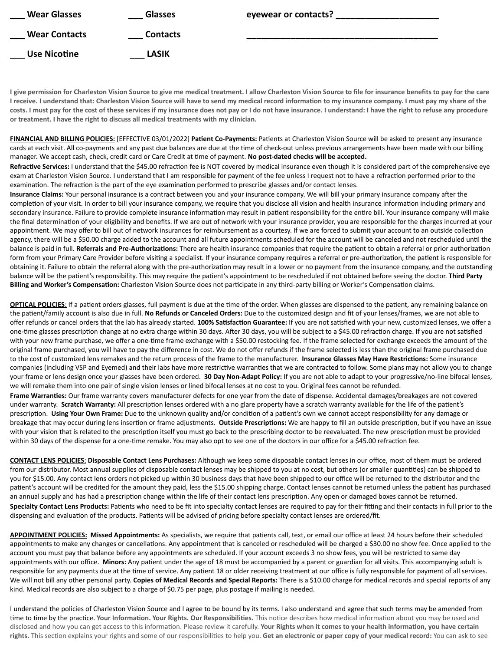| <b>Wear Glasses</b>  | <b>Glasses</b>  | eyewear or contacts? |
|----------------------|-----------------|----------------------|
| <b>Wear Contacts</b> | <b>Contacts</b> |                      |
| <b>Use Nicotine</b>  | <b>LASIK</b>    |                      |

**I give permission for Charleston Vision Source to give me medical treatment. I allow Charleston Vision Source to file for insurance benefits to pay for the care I receive. I understand that: Charleston Vision Source will have to send my medical record information to my insurance company. I must pay my share of the costs. I must pay for the cost of these services if my insurance does not pay or I do not have insurance. I understand: I have the right to refuse any procedure or treatment. I have the right to discuss all medical treatments with my clinician.**

**FINANCIAL AND BILLING POLICIES:** [EFFECTIVE 03/01/2022] **Patient Co-Payments:** Patients at Charleston Vision Source will be asked to present any insurance cards at each visit. All co-payments and any past due balances are due at the time of check-out unless previous arrangements have been made with our billing manager. We accept cash, check, credit card or Care Credit at time of payment. **No post-dated checks will be accepted.**

**Refractive Services:** I understand that the \$45.00 refraction fee is NOT covered by medical insurance even though it is considered part of the comprehensive eye exam at Charleston Vision Source. I understand that I am responsible for payment of the fee unless I request not to have a refraction performed prior to the examination. The refraction is the part of the eye examination performed to prescribe glasses and/or contact lenses.

**Insurance Claims:** Your personal insurance is a contract between you and your insurance company. We will bill your primary insurance company after the completion of your visit. In order to bill your insurance company, we require that you disclose all vision and health insurance information including primary and secondary insurance. Failure to provide complete insurance information may result in patient responsibility for the entire bill. Your insurance company will make the final determination of your eligibility and benefits. If we are out of network with your insurance provider, you are responsible for the charges incurred at your appointment. We may offer to bill out of network insurances for reimbursement as a courtesy. If we are forced to submit your account to an outside collection agency, there will be a \$50.00 charge added to the account and all future appointments scheduled for the account will be canceled and not rescheduled until the balance is paid in full. **Referrals and Pre-Authorizations:** There are health insurance companies that require the patient to obtain a referral or prior authorization form from your Primary Care Provider before visiting a specialist. If your insurance company requires a referral or pre-authorization, the patient is responsible for obtaining it. Failure to obtain the referral along with the pre-authorization may result in a lower or no payment from the insurance company, and the outstanding balance will be the patient's responsibility. This may require the patient's appointment to be rescheduled if not obtained before seeing the doctor. **Third Party Billing and Worker's Compensation:** Charleston Vision Source does not participate in any third-party billing or Worker's Compensation claims.

**OPTICAL POLICIES**: If a patient orders glasses, full payment is due at the time of the order. When glasses are dispensed to the patient, any remaining balance on the patient/family account is also due in full. **No Refunds or Canceled Orders:** Due to the customized design and fit of your lenses/frames, we are not able to offer refunds or cancel orders that the lab has already started. **100% Satisfaction Guarantee:** If you are not satisfied with your new, customized lenses, we offer a one-time glasses prescription change at no extra charge within 30 days. After 30 days, you will be subject to a \$45.00 refraction charge. If you are not satisfied with your new frame purchase, we offer a one-time frame exchange with a \$50.00 restocking fee. If the frame selected for exchange exceeds the amount of the original frame purchased, you will have to pay the difference in cost. We do not offer refunds if the frame selected is less than the original frame purchased due to the cost of customized lens remakes and the return process of the frame to the manufacturer. **Insurance Glasses May Have Restrictions:** Some insurance companies (including VSP and Eyemed) and their labs have more restrictive warranties that we are contracted to follow. Some plans may not allow you to change your frame or lens design once your glasses have been ordered. **30 Day Non-Adapt Policy:** If you are not able to adapt to your progressive/no-line bifocal lenses, we will remake them into one pair of single vision lenses or lined bifocal lenses at no cost to you. Original fees cannot be refunded.

**Frame Warranties:** Our frame warranty covers manufacturer defects for one year from the date of dispense. Accidental damages/breakages are not covered under warranty. **Scratch Warranty:** All prescription lenses ordered with a no glare property have a scratch warranty available for the life of the patient's prescription. **Using Your Own Frame:** Due to the unknown quality and/or condition of a patient's own we cannot accept responsibility for any damage or breakage that may occur during lens insertion or frame adjustments. **Outside Prescriptions:** We are happy to fill an outside prescription, but if you have an issue with your vision that is related to the prescription itself you must go back to the prescribing doctor to be reevaluated. The new prescription must be provided within 30 days of the dispense for a one-time remake. You may also opt to see one of the doctors in our office for a \$45.00 refraction fee.

**CONTACT LENS POLICIES**: **Disposable Contact Lens Purchases:** Although we keep some disposable contact lenses in our office, most of them must be ordered from our distributor. Most annual supplies of disposable contact lenses may be shipped to you at no cost, but others (or smaller quantities) can be shipped to you for \$15.00. Any contact lens orders not picked up within 30 business days that have been shipped to our office will be returned to the distributor and the patient's account will be credited for the amount they paid, less the \$15.00 shipping charge. Contact lenses cannot be returned unless the patient has purchased an annual supply and has had a prescription change within the life of their contact lens prescription. Any open or damaged boxes cannot be returned. Specialty Contact Lens Products: Patients who need to be fit into specialty contact lenses are required to pay for their fitting and their contacts in full prior to the dispensing and evaluation of the products. Patients will be advised of pricing before specialty contact lenses are ordered/fit.

**APPOINTMENT POLICIES: Missed Appointments:** As specialists, we require that patients call, text, or email our office at least 24 hours before their scheduled appointments to make any changes or cancellations. Any appointment that is canceled or rescheduled will be charged a \$30.00 no show fee. Once applied to the account you must pay that balance before any appointments are scheduled. If your account exceeds 3 no show fees, you will be restricted to same day appointments with our office. **Minors:** Any patient under the age of 18 must be accompanied by a parent or guardian for all visits. This accompanying adult is responsible for any payments due at the time of service. Any patient 18 or older receiving treatment at our office is fully responsible for payment of all services. We will not bill any other personal party. **Copies of Medical Records and Special Reports:** There is a \$10.00 charge for medical records and special reports of any kind. Medical records are also subject to a charge of \$0.75 per page, plus postage if mailing is needed.

I understand the policies of Charleston Vision Source and I agree to be bound by its terms. I also understand and agree that such terms may be amended from time to time by the practice. **Your Information. Your Rights. Our Responsibilities.** This notice describes how medical information about you may be used and disclosed and how you can get access to this information. Please review it carefully. **Your Rights when it comes to your health information, you have certain rights.** This section explains your rights and some of our responsibilities to help you. **Get an electronic or paper copy of your medical record:** You can ask to see